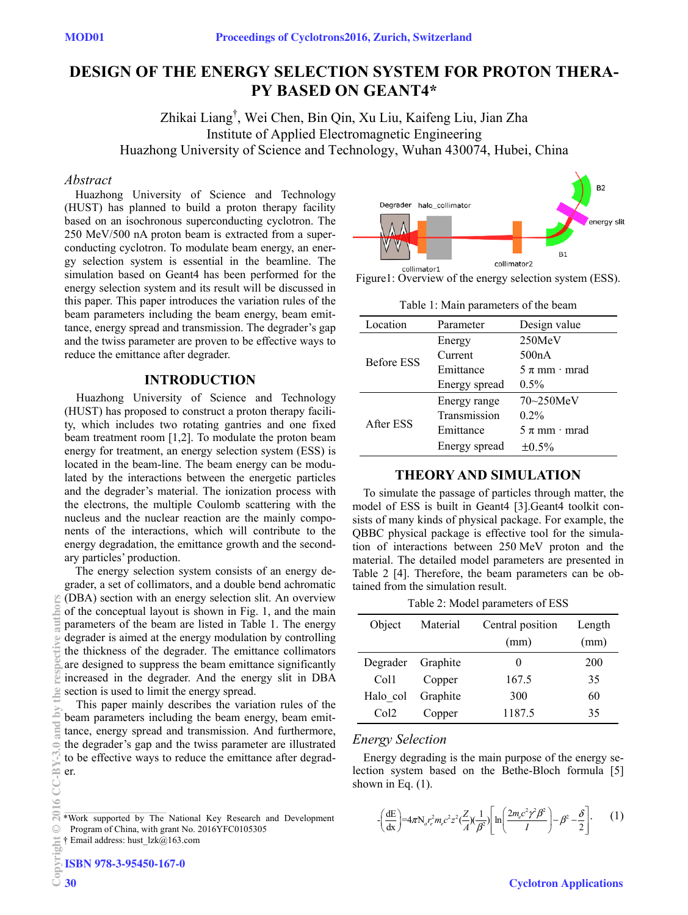# **DESIGN OF THE ENERGY SELECTION SYSTEM FOR PROTON THERA-PY BASED ON GEANT4\***

Zhikai Liang† , Wei Chen, Bin Qin, Xu Liu, Kaifeng Liu, Jian Zha Institute of Applied Electromagnetic Engineering Huazhong University of Science and Technology, Wuhan 430074, Hubei, China

#### *Abstract*

Huazhong University of Science and Technology (HUST) has planned to build a proton therapy facility based on an isochronous superconducting cyclotron. The 250 MeV/500 nA proton beam is extracted from a superconducting cyclotron. To modulate beam energy, an energy selection system is essential in the beamline. The simulation based on Geant4 has been performed for the energy selection system and its result will be discussed in this paper. This paper introduces the variation rules of the beam parameters including the beam energy, beam emittance, energy spread and transmission. The degrader's gap and the twiss parameter are proven to be effective ways to reduce the emittance after degrader.

## **INTRODUCTION**

Huazhong University of Science and Technology (HUST) has proposed to construct a proton therapy facility, which includes two rotating gantries and one fixed beam treatment room [1,2]. To modulate the proton beam energy for treatment, an energy selection system (ESS) is located in the beam-line. The beam energy can be modulated by the interactions between the energetic particles and the degrader's material. The ionization process with the electrons, the multiple Coulomb scattering with the nucleus and the nuclear reaction are the mainly components of the interactions, which will contribute to the energy degradation, the emittance growth and the secondary particles' production.

The energy selection system consists of an energy degrader, a set of collimators, and a double bend achromatic (DBA) section with an energy selection slit. An overview of the conceptual layout is shown in Fig. 1, and the main parameters of the beam are listed in Table 1. The energy degrader is aimed at the energy modulation by controlling the thickness of the degrader. The emittance collimators are designed to suppress the beam emittance significantly increased in the degrader. And the energy slit in DBA section is used to limit the energy spread.

This paper mainly describes the variation rules of the beam parameters including the beam energy, beam emittance, energy spread and transmission. And furthermore, the degrader's gap and the twiss parameter are illustrated to be effective ways to reduce the emittance after degrader.

† Email address: hust\_lzk@163.com



Figure1: Overview of the energy selection system (ESS).

Table 1: Main parameters of the beam

| Location          | Parameter     | Design value      |
|-------------------|---------------|-------------------|
| <b>Before ESS</b> | Energy        | 250MeV            |
|                   | Current       | 500nA             |
|                   | Emittance     | $5 \pi$ mm · mrad |
|                   | Energy spread | $0.5\%$           |
| After ESS         | Energy range  | 70~250MeV         |
|                   | Transmission  | $0.2\%$           |
|                   | Emittance     | $5 \pi$ mm · mrad |
|                   | Energy spread | $\pm 0.5\%$       |

## **THEORY AND SIMULATION**

To simulate the passage of particles through matter, the model of ESS is built in Geant4 [3].Geant4 toolkit consists of many kinds of physical package. For example, the QBBC physical package is effective tool for the simulation of interactions between 250 MeV proton and the material. The detailed model parameters are presented in Table 2 [4]. Therefore, the beam parameters can be obtained from the simulation result.

Table 2: Model parameters of ESS

| Object           | Material | Central position | Length |
|------------------|----------|------------------|--------|
|                  |          | (mm)             | (mm)   |
| Degrader         | Graphite |                  | 200    |
| Col <sub>1</sub> | Copper   | 167.5            | 35     |
| Halo col         | Graphite | 300              | 60     |
| Col <sub>2</sub> | Copper   | 1187.5           | 35     |

#### *Energy Selection*

Energy degrading is the main purpose of the energy selection system based on the Bethe-Bloch formula [5] shown in Eq.  $(1)$ .

$$
\left[\frac{dE}{dx}\right] = 4\pi N_a r_e^2 m_e c^2 z^2 \left(\frac{Z}{A}\right) \left(\frac{1}{\beta^2}\right) \left[\ln\left(\frac{2m_e c^2 \gamma^2 \beta^2}{I}\right) - \beta^2 - \frac{\delta}{2}\right].
$$
 (1)

<sup>\*</sup>Work supported by The National Key Research and Development Program of China, with grant No. 2016YFC0105305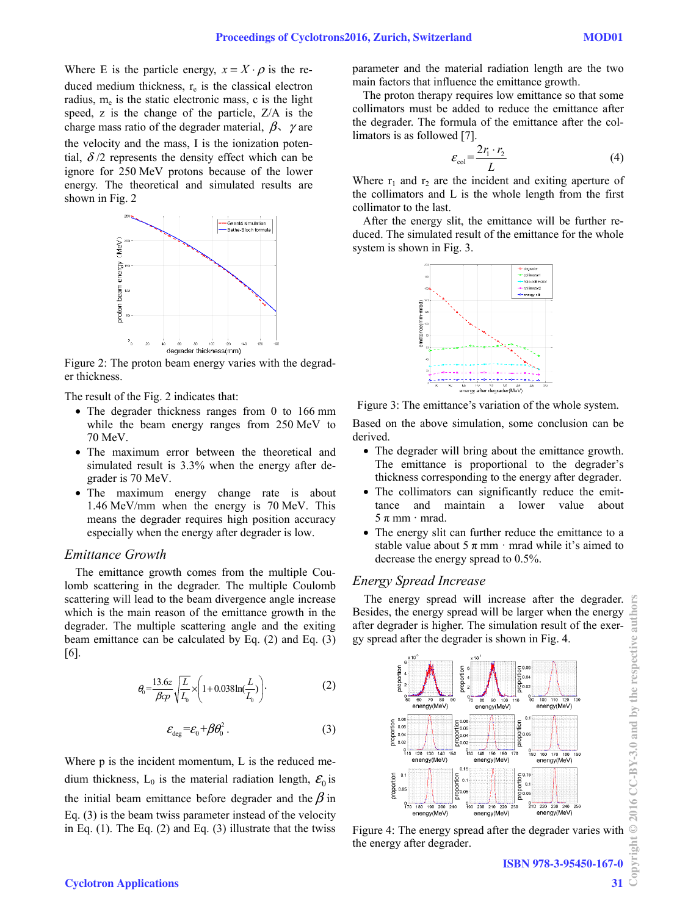Where E is the particle energy,  $x = X \cdot \rho$  is the reduced medium thickness,  $r_e$  is the classical electron radius,  $m_e$  is the static electronic mass, c is the light speed, z is the change of the particle, Z/A is the charge mass ratio of the degrader material,  $\beta$ ,  $\gamma$  are the velocity and the mass, I is the ionization potential,  $\delta/2$  represents the density effect which can be ignore for 250 MeV protons because of the lower energy. The theoretical and simulated results are shown in Fig. 2



Figure 2: The proton beam energy varies with the degrader thickness.

The result of the Fig. 2 indicates that:

- The degrader thickness ranges from 0 to 166 mm while the beam energy ranges from 250 MeV to 70 MeV.
- The maximum error between the theoretical and simulated result is 3.3% when the energy after degrader is 70 MeV.
- The maximum energy change rate is about 1.46 MeV/mm when the energy is 70 MeV. This means the degrader requires high position accuracy especially when the energy after degrader is low.

## *Emittance Growth*

The emittance growth comes from the multiple Coulomb scattering in the degrader. The multiple Coulomb scattering will lead to the beam divergence angle increase which is the main reason of the emittance growth in the degrader. The multiple scattering angle and the exiting beam emittance can be calculated by Eq. (2) and Eq. (3) [6].

$$
\theta_0 = \frac{13.6z}{\beta cp} \sqrt{\frac{L}{L_0}} \times \left(1 + 0.038 \ln(\frac{L}{L_0})\right).
$$
 (2)

$$
\varepsilon_{\text{deg}} = \varepsilon_0 + \beta \theta_0^2 \,. \tag{3}
$$

Where p is the incident momentum, L is the reduced medium thickness,  $L_0$  is the material radiation length,  $\mathcal{E}_0$  is the initial beam emittance before degrader and the  $\beta$  in Eq. (3) is the beam twiss parameter instead of the velocity in Eq.  $(1)$ . The Eq.  $(2)$  and Eq.  $(3)$  illustrate that the twiss parameter and the material radiation length are the two main factors that influence the emittance growth.

The proton therapy requires low emittance so that some collimators must be added to reduce the emittance after the degrader. The formula of the emittance after the collimators is as followed [7].

$$
\varepsilon_{\text{col}} = \frac{2r_1 \cdot r_2}{L} \tag{4}
$$

Where  $r_1$  and  $r_2$  are the incident and exiting aperture of the collimators and L is the whole length from the first collimator to the last.

After the energy slit, the emittance will be further reduced. The simulated result of the emittance for the whole system is shown in Fig. 3.



Figure 3: The emittance's variation of the whole system.

Based on the above simulation, some conclusion can be derived.

- The degrader will bring about the emittance growth. The emittance is proportional to the degrader's thickness corresponding to the energy after degrader.
- The collimators can significantly reduce the emittance and maintain a lower value about  $5 \pi$  mm · mrad.
- The energy slit can further reduce the emittance to a stable value about 5  $\pi$  mm · mrad while it's aimed to decrease the energy spread to 0.5%.

#### *Energy Spread Increase*

The energy spread will increase after the degrader. Besides, the energy spread will be larger when the energy after degrader is higher. The simulation result of the exergy spread after the degrader is shown in Fig. 4.



Figure 4: The energy spread after the degrader varies with the energy after degrader.

 $\odot$  $\sin(z)$ 

2016 CC-BY-3.0 and by the respective